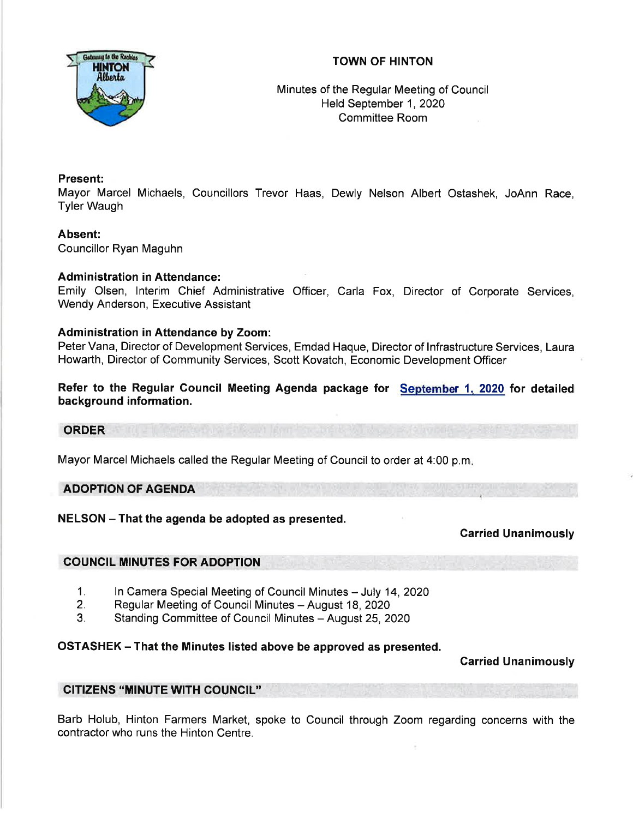## TOWN OF HINTON



Minutes of the Regular Meeting of Council Held September 1, 2020 Committee Room

## Present:

Mayor Marcel Michaels, Councillors Trevor Haas, Dewly Nelson Albert Ostashek, JoAnn Race, Tyler Waugh

# Absent:

Councillor Ryan Maguhn

## Administration in Attendance:

Emily Olsen, lnterim Chief Administrative Officer, Carla Fox, Director of Corporate Services, Wendy Anderson, Executive Assistant

## Administration in Attendance by Zoom:

Peter Vana, Director of Development Services, Emdad Haque, Director of lnfrastructure Services, Laura Howarth, Director of Community Services, Scott Kovatch, Economic Development Officer

Refer to the Regular Council Meeting Agenda package for <u>September 1, 2020</u> for detailed background information.

#### **ORDER**

Mayor Marcel Michaels called the Regular Meeting of Council to order at 4:00 p.m

## ADOPTION OF AGENDA

NELSON - That the agenda be adopted as presented.

Carried Unanimously

## COUNCIL MINUTES FOR ADOPTION

- In Camera Special Meeting of Council Minutes July 14, 2020 1.
- Regular Meeting of Council Minutes August 18, 2020 2.
- Standing Committee of Council Minutes August 25, 2020 3.

## OSTASHEK - That the Minutes listed above be approved as presented.

Carried Unanimously

## CITIZENS "MINUTE wlTH COUNCIL"

Barb Holub, Hinton Farmers Market, spoke to Council through Zoom regarding concerns with the contractor who runs the Hinton Centre.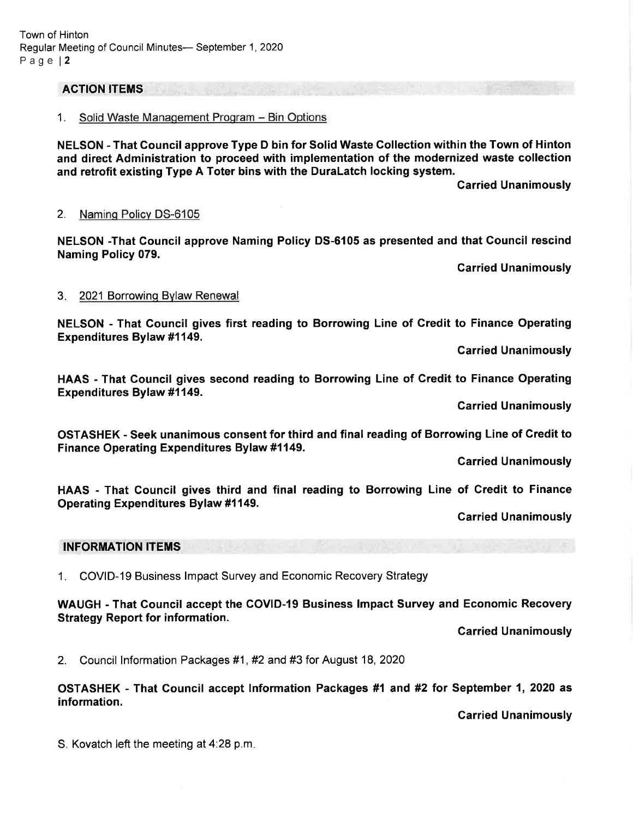#### ACTION ITEMS

#### 1. Solid Waste Management Program - Bin Options

NELSON - That Gouncil approve Type D bin for Solid Waste Gollection within the Town of Hinton and direct Administration to proceed with implementation of the modernized waste collection and retrofit existing Type A Toter bins with the DuraLatch locking system.

Garried Unanimously

#### 2. Naminq Policv DS-6105

NELSON -That Council approve Naming Policy DS-6105 as presented and that Council rescind Naming Policy 079.

**Carried Unanimously** 

#### 3. 2021 Borrowing Bylaw Renewal

NELSON - That Council gives first reading to Borrowing Line of Credit to Finance Operating Expenditures Bylaw #1149.

Garried Unanimously

HAAS - That Council gives second reading to Borrowing Line of Credit to Finance Operating Expenditures Bylaw #1149.

Carried Unanimously

OSTASHEK - Seek unanimous consent for third and final reading of Borrowing Line of Credit to Finance Operating Expenditures Bylaw #1149.

Garried Unanimously

HAAS - That Gouncil gives third and final reading to Borrowing Line of Gredit to Finance Operating Expenditures Bylaw #1149.

**Carried Unanimously** 

#### INFORMATION ITEMS

<sup>1</sup>. COVID-19 Business lmpact Survey and Economic Recovery Strategy

WAUGH - That Council accept the GOVID-I9 Business lmpact Survey and Economic Recovery Strategy Report for information.

Garried Unanimously

2. Council lnformation Packages #1 , #2 and #3 for August 18, <sup>2020</sup>

OSTASHEK - That Gouncil accept lnformation Packages #1 and #2 tor September 1, 2020 as information.

Garried Unanimously

S. Kovatch left the meeting at 4:28 p.m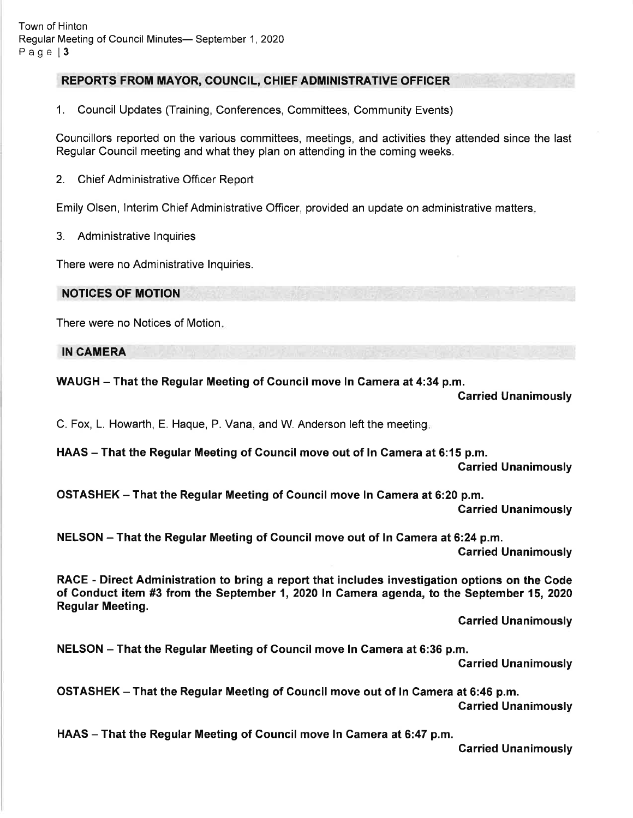# REPORTS FROM MAYOR, COUNCIL, CHIEF ADMINISTRATIVE OFFICER

1. Council Updates (Training, Conferences, Committees, Community Events)

Councillors reported on the various committees, meetings, and activities they attended since the last Regular Council meeting and what they plan on attending in the coming weeks.

2. Chief Administrative Officer Report

Emily Olsen, lnterim Chief Administrative Officer, provided an update on administrative matters

3. Administrative lnquiries

There were no Administrative lnquiries.

NOTICES OF MOTION

There were no Notices of Motion

IN CAMERA

#### WAUGH – That the Regular Meeting of Council move In Camera at 4:34 p.m.

#### Garried Unanimously

C. Fox, L. Howarth, E. Haque, P. Vana, and W. Anderson left the meeting

HAAS – That the Regular Meeting of Council move out of In Camera at 6:15 p.m.

Carried Unanimously

OSTASHEK - That the Regular Meeting of Gouncil move ln Gamera at 6:20 p.m. Garried Unanimously

NELSON - That the Regular Meeting of Council move out of In Camera at 6:24 p.m. Carried Unanimously

RACE - Direct Administration to bring a report that includes investigation options on the Code of Conduct item #3 from the September 1, 2020 In Camera agenda, to the September 15, 2020 Regular Meeting.

Garried Unanimously

NELSON – That the Regular Meeting of Council move In Camera at 6:36 p.m.

Carried Unanimously

OSTASHEK - That the Regular Meeting of Council move out of In Camera at 6:46 p.m. Carried Unanimously

HAAS - That the Regular Meeting of Council move In Camera at 6:47 p.m.

Garried Unanimously